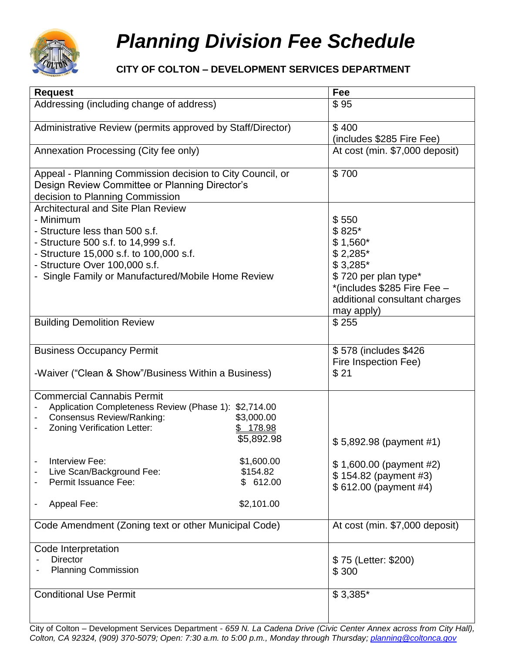

## *Planning Division Fee Schedule*

## **CITY OF COLTON – DEVELOPMENT SERVICES DEPARTMENT**

| <b>Request</b>                                                                                                                                                                                                                                                                                                                                   | Fee                                                                                                                                                            |
|--------------------------------------------------------------------------------------------------------------------------------------------------------------------------------------------------------------------------------------------------------------------------------------------------------------------------------------------------|----------------------------------------------------------------------------------------------------------------------------------------------------------------|
| Addressing (including change of address)                                                                                                                                                                                                                                                                                                         | \$95                                                                                                                                                           |
| Administrative Review (permits approved by Staff/Director)                                                                                                                                                                                                                                                                                       | \$400<br>(includes \$285 Fire Fee)                                                                                                                             |
| Annexation Processing (City fee only)                                                                                                                                                                                                                                                                                                            | At cost (min. \$7,000 deposit)                                                                                                                                 |
| Appeal - Planning Commission decision to City Council, or<br>Design Review Committee or Planning Director's<br>decision to Planning Commission                                                                                                                                                                                                   | \$700                                                                                                                                                          |
| <b>Architectural and Site Plan Review</b><br>- Minimum<br>- Structure less than 500 s.f.<br>- Structure 500 s.f. to 14,999 s.f.<br>- Structure 15,000 s.f. to 100,000 s.f.<br>- Structure Over 100,000 s.f.<br>- Single Family or Manufactured/Mobile Home Review                                                                                | \$550<br>\$825*<br>$$1,560*$<br>$$2,285$ *<br>$$3,285$ *<br>\$720 per plan type*<br>*(includes \$285 Fire Fee -<br>additional consultant charges<br>may apply) |
| <b>Building Demolition Review</b>                                                                                                                                                                                                                                                                                                                | \$255                                                                                                                                                          |
| <b>Business Occupancy Permit</b><br>-Waiver ("Clean & Show"/Business Within a Business)                                                                                                                                                                                                                                                          | \$578 (includes \$426)<br>Fire Inspection Fee)<br>\$21                                                                                                         |
| <b>Commercial Cannabis Permit</b><br>Application Completeness Review (Phase 1): \$2,714.00<br><b>Consensus Review/Ranking:</b><br>\$3,000.00<br>Zoning Verification Letter:<br>\$ 178.98<br>\$5,892.98<br>Interview Fee:<br>\$1,600.00<br>\$154.82<br>Live Scan/Background Fee:<br>Permit Issuance Fee:<br>\$612.00<br>\$2,101.00<br>Appeal Fee: | $$5,892.98$ (payment #1)<br>\$1,600.00 (payment #2)<br>\$154.82 (payment #3)<br>$$612.00$ (payment #4)                                                         |
| Code Amendment (Zoning text or other Municipal Code)                                                                                                                                                                                                                                                                                             | At cost (min. \$7,000 deposit)                                                                                                                                 |
| Code Interpretation<br><b>Director</b><br><b>Planning Commission</b>                                                                                                                                                                                                                                                                             | \$75 (Letter: \$200)<br>\$300                                                                                                                                  |
| <b>Conditional Use Permit</b>                                                                                                                                                                                                                                                                                                                    | $$3,385$ *                                                                                                                                                     |

City of Colton – Development Services Department - *659 N. La Cadena Drive (Civic Center Annex across from City Hall), Colton, CA 92324, (909) 370-5079; Open: 7:30 a.m. to 5:00 p.m., Monday through Thursday; [planning@coltonca.gov](mailto:planning@coltonca.gov)*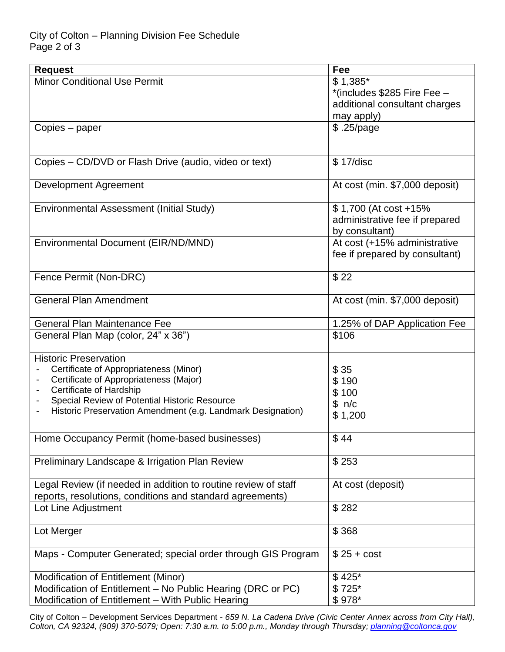## City of Colton – Planning Division Fee Schedule Page 2 of 3

| <b>Request</b>                                                                                                              | Fee                                              |
|-----------------------------------------------------------------------------------------------------------------------------|--------------------------------------------------|
| <b>Minor Conditional Use Permit</b>                                                                                         | $$1,385$ *                                       |
|                                                                                                                             | *(includes \$285 Fire Fee -                      |
|                                                                                                                             | additional consultant charges                    |
|                                                                                                                             | may apply)                                       |
| Copies – paper                                                                                                              | \$.25/page                                       |
|                                                                                                                             |                                                  |
| Copies – CD/DVD or Flash Drive (audio, video or text)                                                                       | \$17/disc                                        |
| Development Agreement                                                                                                       | At cost (min. \$7,000 deposit)                   |
| Environmental Assessment (Initial Study)                                                                                    | \$1,700 (At cost +15%)                           |
|                                                                                                                             | administrative fee if prepared<br>by consultant) |
| Environmental Document (EIR/ND/MND)                                                                                         | At cost (+15% administrative                     |
|                                                                                                                             | fee if prepared by consultant)                   |
| Fence Permit (Non-DRC)                                                                                                      | \$22                                             |
| <b>General Plan Amendment</b>                                                                                               | At cost (min. \$7,000 deposit)                   |
| <b>General Plan Maintenance Fee</b>                                                                                         | 1.25% of DAP Application Fee                     |
| General Plan Map (color, 24" x 36")                                                                                         | \$106                                            |
| <b>Historic Preservation</b>                                                                                                |                                                  |
| Certificate of Appropriateness (Minor)                                                                                      | \$35                                             |
| Certificate of Appropriateness (Major)<br>$\overline{a}$                                                                    | \$190                                            |
| Certificate of Hardship<br>$\overline{\phantom{a}}$                                                                         | \$100                                            |
| Special Review of Potential Historic Resource<br>$\overline{\phantom{a}}$                                                   | \$ n/c                                           |
| Historic Preservation Amendment (e.g. Landmark Designation)<br>$\overline{\phantom{a}}$                                     | \$1,200                                          |
| Home Occupancy Permit (home-based businesses)                                                                               | \$44                                             |
| Preliminary Landscape & Irrigation Plan Review                                                                              | \$253                                            |
| Legal Review (if needed in addition to routine review of staff<br>reports, resolutions, conditions and standard agreements) | At cost (deposit)                                |
| Lot Line Adjustment                                                                                                         | \$282                                            |
| Lot Merger                                                                                                                  | \$368                                            |
| Maps - Computer Generated; special order through GIS Program                                                                | $$25 + cost$                                     |
| Modification of Entitlement (Minor)                                                                                         | \$425*                                           |
| Modification of Entitlement - No Public Hearing (DRC or PC)                                                                 | $$725*$                                          |
| Modification of Entitlement - With Public Hearing                                                                           | \$978*                                           |

City of Colton – Development Services Department - *659 N. La Cadena Drive (Civic Center Annex across from City Hall), Colton, CA 92324, (909) 370-5079; Open: 7:30 a.m. to 5:00 p.m., Monday through Thursday; [planning@coltonca.gov](mailto:planning@coltonca.gov)*